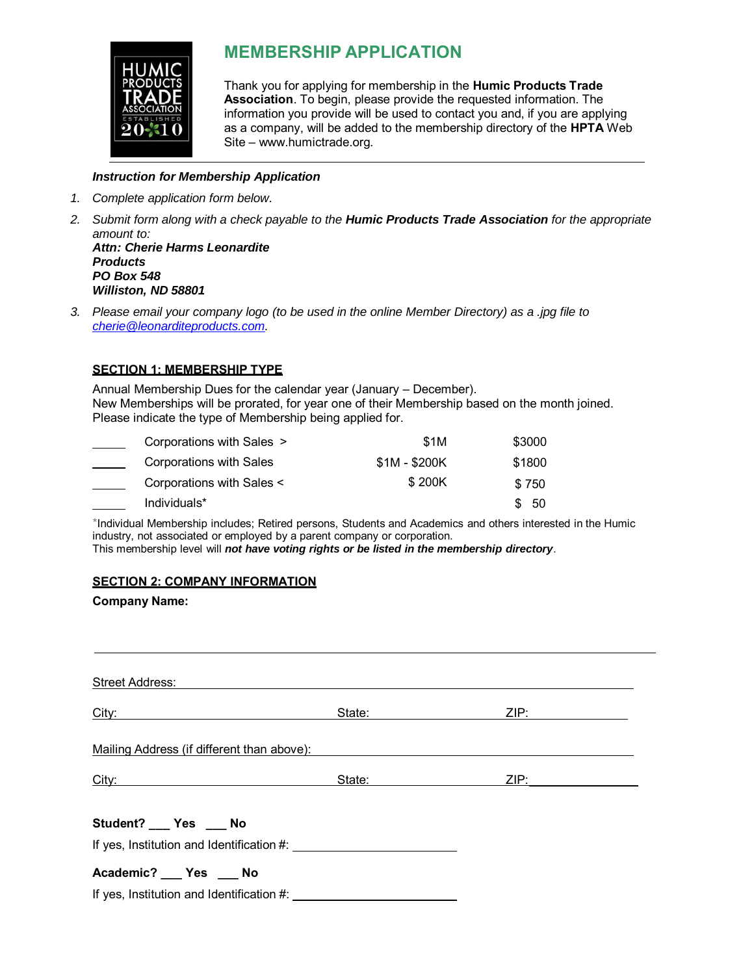

# **MEMBERSHIP APPLICATION**

Thank you for applying for membership in the **Humic Products Trade Association**. To begin, please provide the requested information. The information you provide will be used to contact you and, if you are applying as a company, will be added to the membership directory of the **HPTA** Web Site – www.humictrade.org.

### *Instruction for Membership Application*

- *1. Complete application form below.*
- *2. Submit form along with a check payable to the Humic Products Trade Association for the appropriate amount to: Attn: Cherie Harms Leonardite Products PO Box 548 Williston, ND 58801*
- *3. Please email your company logo (to be used in the online Member Directory) as a .jpg file to cherie@leonarditeproducts.com.*

### **SECTION 1: MEMBERSHIP TYPE**

Annual Membership Dues for the calendar year (January – December). New Memberships will be prorated, for year one of their Membership based on the month joined. Please indicate the type of Membership being applied for.

| Corporations with Sales > | <b>\$1M</b>   | \$3000 |
|---------------------------|---------------|--------|
| Corporations with Sales   | $$1M - $200K$ | \$1800 |
| Corporations with Sales < | \$200K        | \$750  |
| Individuals*              |               | - 50   |

\*Individual Membership includes; Retired persons, Students and Academics and others interested in the Humic industry, not associated or employed by a parent company or corporation. This membership level will *not have voting rights or be listed in the membership directory*.

### **SECTION 2: COMPANY INFORMATION**

### **Company Name:**

| <b>Street Address:</b>                                 |        |      |  |
|--------------------------------------------------------|--------|------|--|
| City:<br><u> 1989 - Andrea Andrew Maria (b. 1989)</u>  | State: | ZIP: |  |
| Mailing Address (if different than above):             |        |      |  |
| City:<br><u> 1989 - Andrea Andrew Maria (h. 1989).</u> | State: | ZIP: |  |
| Student? __ Yes __ No                                  |        |      |  |
| Academic? __ Yes __ No                                 |        |      |  |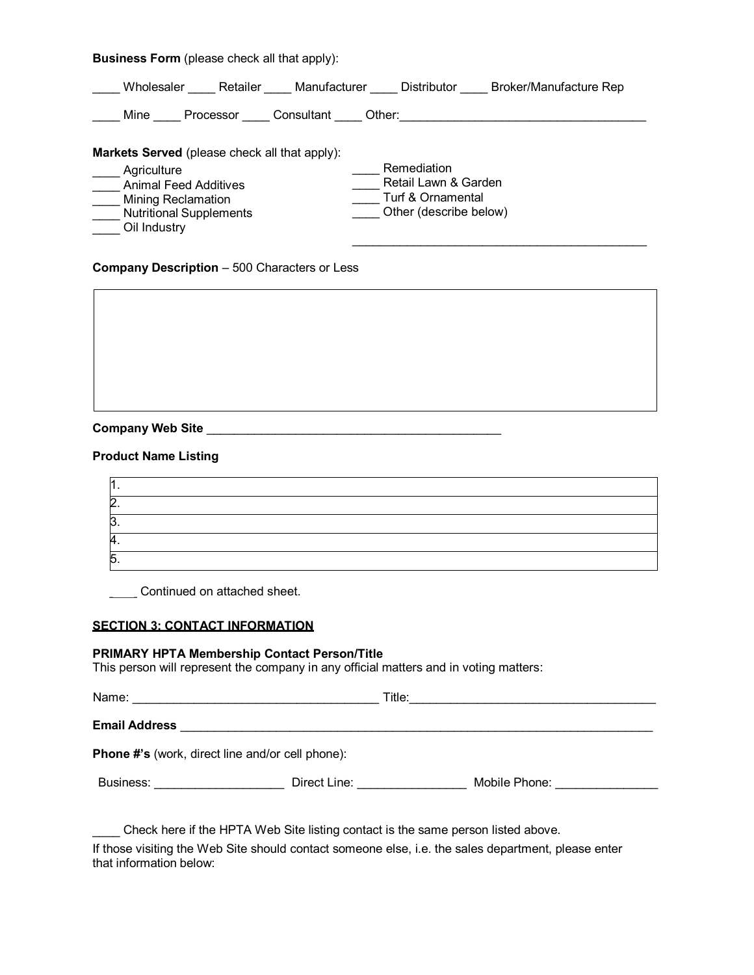**Business Form** (please check all that apply):

| Retailer<br>Wholesaler                                                                                                                                                      | Manufacturer<br><b>Distributor</b><br>Broker/Manufacture Rep                       |
|-----------------------------------------------------------------------------------------------------------------------------------------------------------------------------|------------------------------------------------------------------------------------|
| Mine<br>Processor                                                                                                                                                           | Consultant<br>Other:                                                               |
| <b>Markets Served</b> (please check all that apply):<br>Agriculture<br><b>Animal Feed Additives</b><br>Mining Reclamation<br><b>Nutritional Supplements</b><br>Oil Industry | Remediation<br>Retail Lawn & Garden<br>Turf & Ornamental<br>Other (describe below) |

**Company Description - 500 Characters or Less** 

**Company Web Site** \_\_\_\_\_\_\_\_\_\_\_\_\_\_\_\_\_\_\_\_\_\_\_\_\_\_\_\_\_\_\_\_\_\_\_\_\_\_\_\_\_\_\_

### **Product Name Listing**

| . .      |  |
|----------|--|
|          |  |
| <u>.</u> |  |
| л<br>т.  |  |
| -<br>ັ.  |  |

Continued on attached sheet.

### **SECTION 3: CONTACT INFORMATION**

### **PRIMARY HPTA Membership Contact Person/Title**

This person will represent the company in any official matters and in voting matters:

|                                                                                                                 | Title:                                                                                                                                                                                                                         | <u> 1989 - Johann John Stoff, deutscher Stoffen und der Stoffen und der Stoffen und der Stoffen und der Stoffen u</u> |
|-----------------------------------------------------------------------------------------------------------------|--------------------------------------------------------------------------------------------------------------------------------------------------------------------------------------------------------------------------------|-----------------------------------------------------------------------------------------------------------------------|
| <b>Email Address</b>                                                                                            |                                                                                                                                                                                                                                |                                                                                                                       |
| <b>Phone #'s (work, direct line and/or cell phone):</b>                                                         |                                                                                                                                                                                                                                |                                                                                                                       |
| Business: 2008 and 2010 and 2010 and 2010 and 2010 and 2010 and 2011 and 2011 and 2011 and 2011 and 2011 and 20 | Direct Line: The contract of the contract of the contract of the contract of the contract of the contract of the contract of the contract of the contract of the contract of the contract of the contract of the contract of t | Mobile Phone: Nobile Phone:                                                                                           |
|                                                                                                                 | Check here if the HPTA Web Site listing contact is the same person listed above.                                                                                                                                               |                                                                                                                       |

If those visiting the Web Site should contact someone else, i.e. the sales department, please enter that information below: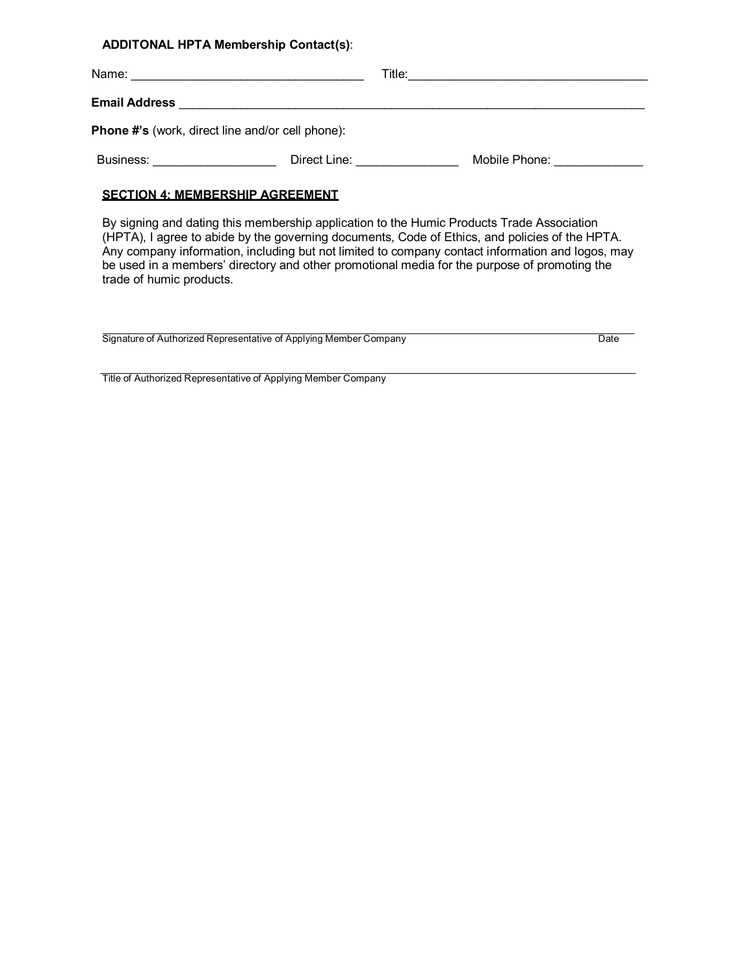**ADDITONAL HPTA Membership Contact(s)**:

| Email Address <b>Contract Contract Contract Contract Contract Contract Contract Contract Contract Contract Contract Contract Contract Contract Contract Contract Contract Contract Contract Contract Contract Contract Contract </b>                                                                                                                                                                                                                                  |                            |
|-----------------------------------------------------------------------------------------------------------------------------------------------------------------------------------------------------------------------------------------------------------------------------------------------------------------------------------------------------------------------------------------------------------------------------------------------------------------------|----------------------------|
| Phone #'s (work, direct line and/or cell phone):                                                                                                                                                                                                                                                                                                                                                                                                                      |                            |
| <b>Business:</b> Direct Line:                                                                                                                                                                                                                                                                                                                                                                                                                                         | Mobile Phone: Nobile Phone |
| <b>SECTION 4: MEMBERSHIP AGREEMENT</b><br>By signing and dating this membership application to the Humic Products Trade Association<br>(HPTA), I agree to abide by the governing documents, Code of Ethics, and policies of the HPTA.<br>Any company information, including but not limited to company contact information and logos, may<br>be used in a members' directory and other promotional media for the purpose of promoting the<br>trade of humic products. |                            |

Signature of Authorized Representative of Applying Member Company Date Date Date

Title of Authorized Representative of Applying Member Company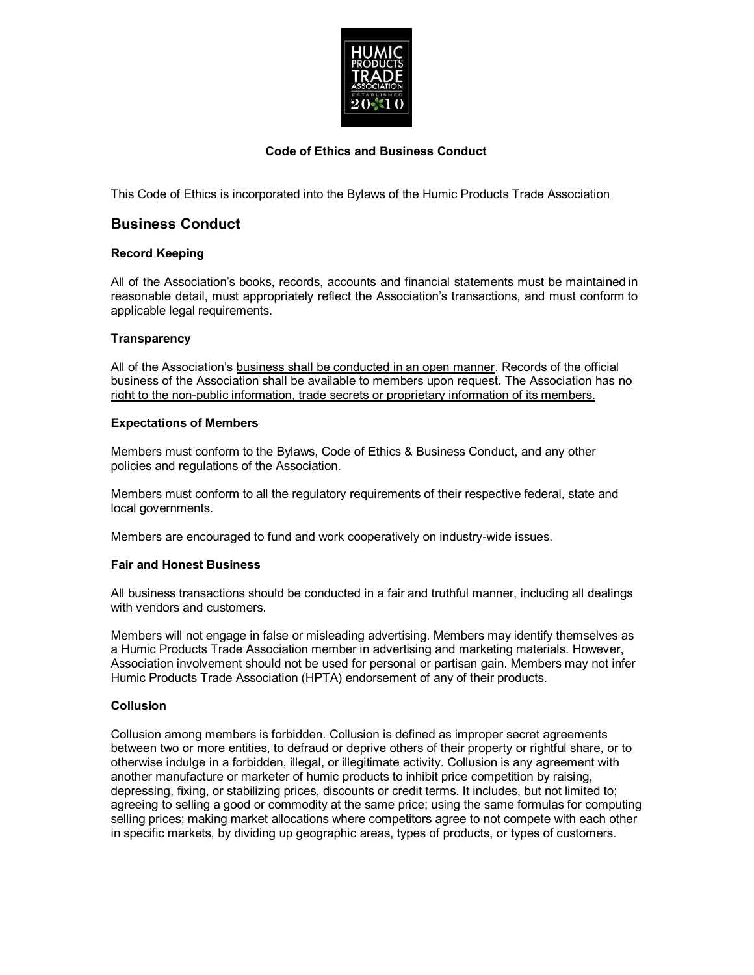

### **Code of Ethics and Business Conduct**

This Code of Ethics is incorporated into the Bylaws of the Humic Products Trade Association

### **Business Conduct**

### **Record Keeping**

All of the Association's books, records, accounts and financial statements must be maintained in reasonable detail, must appropriately reflect the Association's transactions, and must conform to applicable legal requirements.

### **Transparency**

All of the Association's business shall be conducted in an open manner. Records of the official business of the Association shall be available to members upon request. The Association has no right to the non-public information, trade secrets or proprietary information of its members.

### **Expectations of Members**

Members must conform to the Bylaws, Code of Ethics & Business Conduct, and any other policies and regulations of the Association.

Members must conform to all the regulatory requirements of their respective federal, state and local governments.

Members are encouraged to fund and work cooperatively on industry-wide issues.

### **Fair and Honest Business**

All business transactions should be conducted in a fair and truthful manner, including all dealings with vendors and customers.

Members will not engage in false or misleading advertising. Members may identify themselves as a Humic Products Trade Association member in advertising and marketing materials. However, Association involvement should not be used for personal or partisan gain. Members may not infer Humic Products Trade Association (HPTA) endorsement of any of their products.

### **Collusion**

Collusion among members is forbidden. Collusion is defined as improper secret agreements between two or more entities, to defraud or deprive others of their property or rightful share, or to otherwise indulge in a forbidden, illegal, or illegitimate activity. Collusion is any agreement with another manufacture or marketer of humic products to inhibit price competition by raising, depressing, fixing, or stabilizing prices, discounts or credit terms. It includes, but not limited to; agreeing to selling a good or commodity at the same price; using the same formulas for computing selling prices; making market allocations where competitors agree to not compete with each other in specific markets, by dividing up geographic areas, types of products, or types of customers.